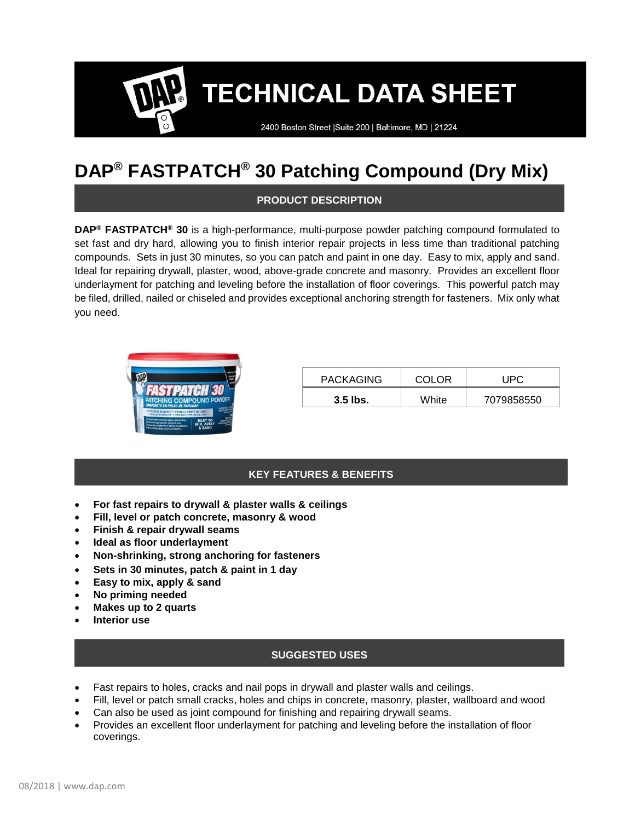2400 Boston Street | Suite 200 | Baltimore, MD | 21224

# **DAP® FASTPATCH® 30 Patching Compound (Dry Mix)**

### **PRODUCT DESCRIPTION**

**DAP® FASTPATCH® 30** is a high-performance, multi-purpose powder patching compound formulated to set fast and dry hard, allowing you to finish interior repair projects in less time than traditional patching compounds. Sets in just 30 minutes, so you can patch and paint in one day. Easy to mix, apply and sand. Ideal for repairing drywall, plaster, wood, above-grade concrete and masonry. Provides an excellent floor underlayment for patching and leveling before the installation of floor coverings. This powerful patch may be filed, drilled, nailed or chiseled and provides exceptional anchoring strength for fasteners. Mix only what you need.



| <b>PACKAGING</b> | COLOR | JPC        |  |
|------------------|-------|------------|--|
| 3.5 lbs.         | White | 7079858550 |  |

### **KEY FEATURES & BENEFITS**

- **For fast repairs to drywall & plaster walls & ceilings**
- **Fill, level or patch concrete, masonry & wood**
- **Finish & repair drywall seams**
- **Ideal as floor underlayment**
- **Non-shrinking, strong anchoring for fasteners**
- **Sets in 30 minutes, patch & paint in 1 day**
- **Easy to mix, apply & sand**
- **No priming needed**
- **Makes up to 2 quarts**
- **Interior use**

### **SUGGESTED USES**

- Fast repairs to holes, cracks and nail pops in drywall and plaster walls and ceilings.
- Fill, level or patch small cracks, holes and chips in concrete, masonry, plaster, wallboard and wood
- Can also be used as joint compound for finishing and repairing drywall seams.
- Provides an excellent floor underlayment for patching and leveling before the installation of floor coverings.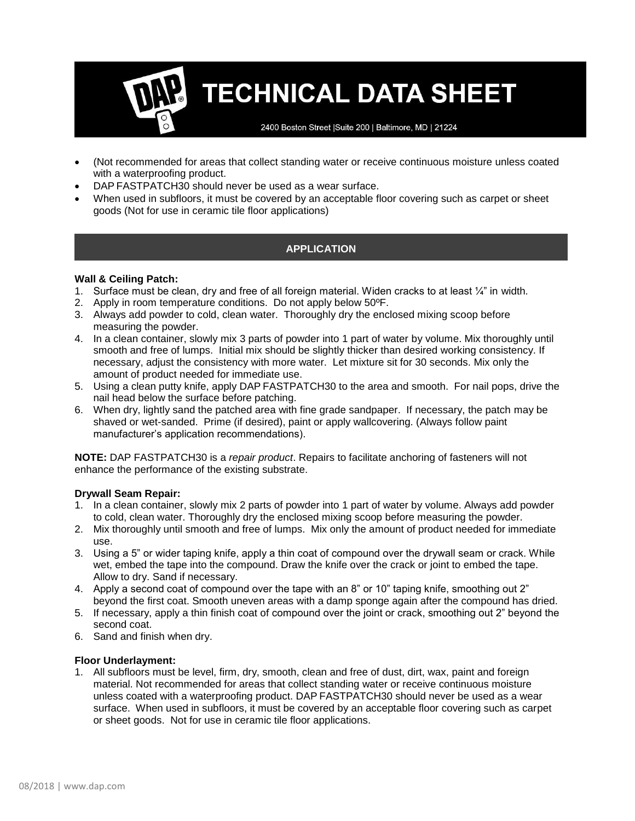2400 Boston Street | Suite 200 | Baltimore, MD | 21224

- (Not recommended for areas that collect standing water or receive continuous moisture unless coated with a waterproofing product.
- DAP FASTPATCH30 should never be used as a wear surface.
- When used in subfloors, it must be covered by an acceptable floor covering such as carpet or sheet goods (Not for use in ceramic tile floor applications)

### **APPLICATION**

### **Wall & Ceiling Patch:**

- 1. Surface must be clean, dry and free of all foreign material. Widen cracks to at least  $\frac{1}{4}$ " in width.
- 2. Apply in room temperature conditions. Do not apply below 50ºF.
- 3. Always add powder to cold, clean water. Thoroughly dry the enclosed mixing scoop before measuring the powder.
- 4. In a clean container, slowly mix 3 parts of powder into 1 part of water by volume. Mix thoroughly until smooth and free of lumps. Initial mix should be slightly thicker than desired working consistency. If necessary, adjust the consistency with more water. Let mixture sit for 30 seconds. Mix only the amount of product needed for immediate use.
- 5. Using a clean putty knife, apply DAP FASTPATCH30 to the area and smooth. For nail pops, drive the nail head below the surface before patching.
- 6. When dry, lightly sand the patched area with fine grade sandpaper. If necessary, the patch may be shaved or wet-sanded. Prime (if desired), paint or apply wallcovering. (Always follow paint manufacturer's application recommendations).

**NOTE:** DAP FASTPATCH30 is a *repair product*. Repairs to facilitate anchoring of fasteners will not enhance the performance of the existing substrate.

### **Drywall Seam Repair:**

- 1. In a clean container, slowly mix 2 parts of powder into 1 part of water by volume. Always add powder to cold, clean water. Thoroughly dry the enclosed mixing scoop before measuring the powder.
- 2. Mix thoroughly until smooth and free of lumps. Mix only the amount of product needed for immediate use.
- 3. Using a 5" or wider taping knife, apply a thin coat of compound over the drywall seam or crack. While wet, embed the tape into the compound. Draw the knife over the crack or joint to embed the tape. Allow to dry. Sand if necessary.
- 4. Apply a second coat of compound over the tape with an 8" or 10" taping knife, smoothing out 2" beyond the first coat. Smooth uneven areas with a damp sponge again after the compound has dried.
- 5. If necessary, apply a thin finish coat of compound over the joint or crack, smoothing out 2" beyond the second coat.
- 6. Sand and finish when dry.

#### **Floor Underlayment:**

1. All subfloors must be level, firm, dry, smooth, clean and free of dust, dirt, wax, paint and foreign material. Not recommended for areas that collect standing water or receive continuous moisture unless coated with a waterproofing product. DAP FASTPATCH30 should never be used as a wear surface. When used in subfloors, it must be covered by an acceptable floor covering such as carpet or sheet goods. Not for use in ceramic tile floor applications.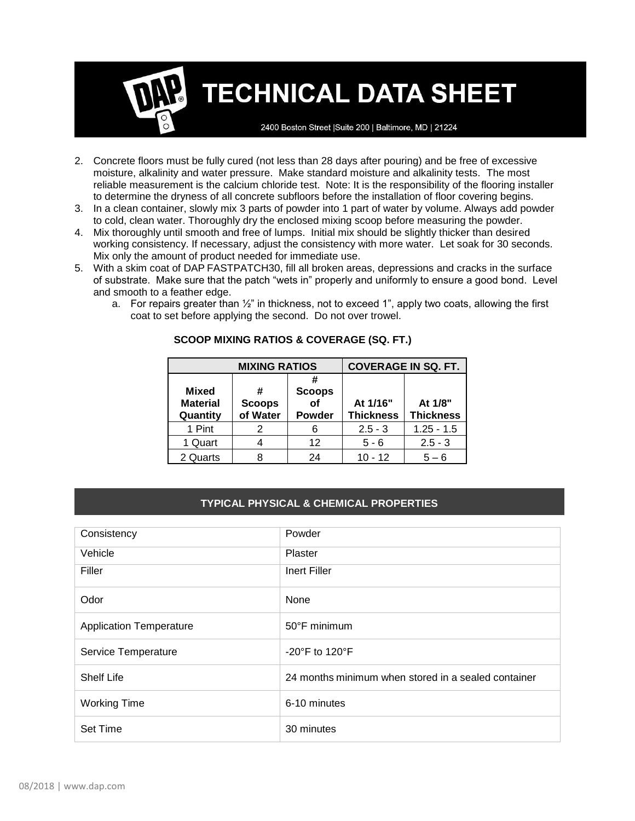2400 Boston Street | Suite 200 | Baltimore, MD | 21224

- 2. Concrete floors must be fully cured (not less than 28 days after pouring) and be free of excessive moisture, alkalinity and water pressure. Make standard moisture and alkalinity tests. The most reliable measurement is the calcium chloride test. Note: It is the responsibility of the flooring installer to determine the dryness of all concrete subfloors before the installation of floor covering begins.
- 3. In a clean container, slowly mix 3 parts of powder into 1 part of water by volume. Always add powder to cold, clean water. Thoroughly dry the enclosed mixing scoop before measuring the powder.
- 4. Mix thoroughly until smooth and free of lumps. Initial mix should be slightly thicker than desired working consistency. If necessary, adjust the consistency with more water. Let soak for 30 seconds. Mix only the amount of product needed for immediate use.
- 5. With a skim coat of DAP FASTPATCH30, fill all broken areas, depressions and cracks in the surface of substrate. Make sure that the patch "wets in" properly and uniformly to ensure a good bond. Level and smooth to a feather edge.
	- a. For repairs greater than  $\frac{1}{2}$ " in thickness, not to exceed 1", apply two coats, allowing the first coat to set before applying the second. Do not over trowel.

| <b>MIXING RATIOS</b>                 |                                | <b>COVERAGE IN SQ. FT.</b>           |                              |                             |
|--------------------------------------|--------------------------------|--------------------------------------|------------------------------|-----------------------------|
| Mixed<br><b>Material</b><br>Quantity | #<br><b>Scoops</b><br>of Water | <b>Scoops</b><br>of<br><b>Powder</b> | At 1/16"<br><b>Thickness</b> | At 1/8"<br><b>Thickness</b> |
| 1 Pint                               | 2                              | 6                                    | $2.5 - 3$                    | $1.25 - 1.5$                |
| 1 Quart                              |                                | 12                                   | $5 - 6$                      | $2.5 - 3$                   |
| 2 Quarts                             | ጸ                              | 24                                   | $10 - 12$                    | $5 - 6$                     |

### **SCOOP MIXING RATIOS & COVERAGE (SQ. FT.)**

### **TYPICAL PHYSICAL & CHEMICAL PROPERTIES**

| Consistency                    | Powder                                              |
|--------------------------------|-----------------------------------------------------|
| Vehicle                        | Plaster                                             |
| Filler                         | Inert Filler                                        |
| Odor                           | None                                                |
| <b>Application Temperature</b> | $50^{\circ}$ F minimum                              |
| Service Temperature            | $-20^{\circ}$ F to 120 $^{\circ}$ F                 |
| <b>Shelf Life</b>              | 24 months minimum when stored in a sealed container |
| <b>Working Time</b>            | 6-10 minutes                                        |
| Set Time                       | 30 minutes                                          |